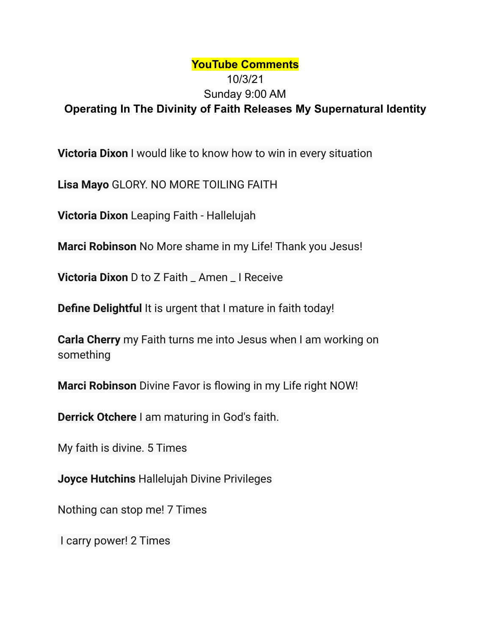## **YouTube Comments** 10/3/21 Sunday 9:00 AM **Operating In The Divinity of Faith Releases My Supernatural Identity**

**Victoria Dixon** I would like to know how to win in every situation

**Lisa Mayo** GLORY. NO MORE TOILING FAITH

**Victoria Dixon** Leaping Faith - Hallelujah

**Marci Robinson** No More shame in my Life! Thank you Jesus!

**Victoria Dixon** D to Z Faith \_ Amen \_ I Receive

**Define Delightful** It is urgent that I mature in faith today!

**Carla Cherry** my Faith turns me into Jesus when I am working on something

**Marci Robinson** Divine Favor is flowing in my Life right NOW!

**Derrick Otchere** I am maturing in God's faith.

My faith is divine. 5 Times

**Joyce Hutchins** Hallelujah Divine Privileges

Nothing can stop me! 7 Times

I carry power! 2 Times